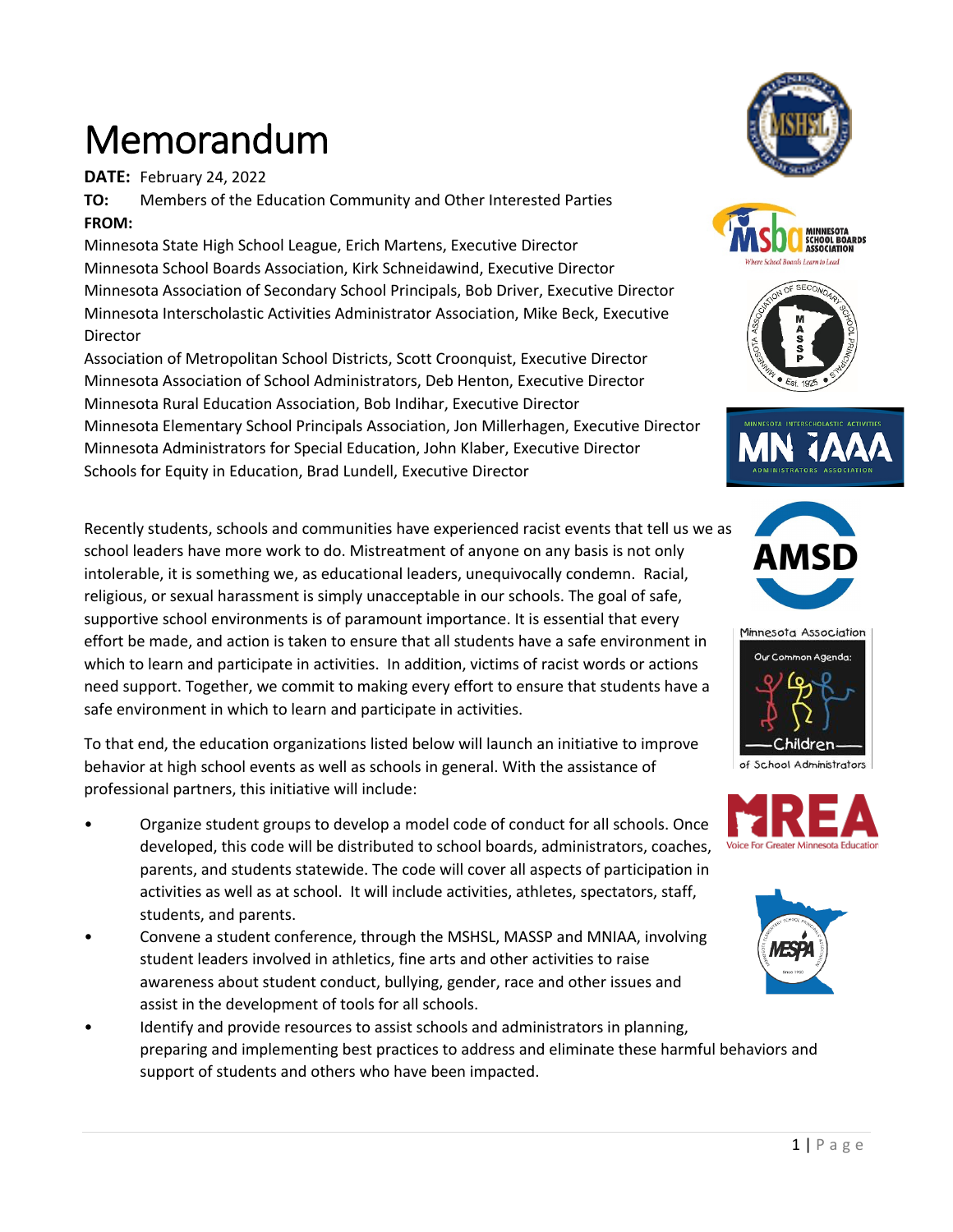## Memorandum

**DATE:** February 24, 2022

**TO:** Members of the Education Community and Other Interested Parties **FROM:**

Minnesota State High School League, Erich Martens, Executive Director Minnesota School Boards Association, Kirk Schneidawind, Executive Director Minnesota Association of Secondary School Principals, Bob Driver, Executive Director Minnesota Interscholastic Activities Administrator Association, Mike Beck, Executive Director

Association of Metropolitan School Districts, Scott Croonquist, Executive Director Minnesota Association of School Administrators, Deb Henton, Executive Director Minnesota Rural Education Association, Bob Indihar, Executive Director Minnesota Elementary School Principals Association, Jon Millerhagen, Executive Director Minnesota Administrators for Special Education, John Klaber, Executive Director Schools for Equity in Education, Brad Lundell, Executive Director

Recently students, schools and communities have experienced racist events that tell us we as school leaders have more work to do. Mistreatment of anyone on any basis is not only intolerable, it is something we, as educational leaders, unequivocally condemn. Racial, religious, or sexual harassment is simply unacceptable in our schools. The goal of safe, supportive school environments is of paramount importance. It is essential that every effort be made, and action is taken to ensure that all students have a safe environment in which to learn and participate in activities. In addition, victims of racist words or actions need support. Together, we commit to making every effort to ensure that students have a safe environment in which to learn and participate in activities.

To that end, the education organizations listed below will launch an initiative to improve behavior at high school events as well as schools in general. With the assistance of professional partners, this initiative will include:

- Organize student groups to develop a model code of conduct for all schools. Once developed, this code will be distributed to school boards, administrators, coaches, parents, and students statewide. The code will cover all aspects of participation in activities as well as at school. It will include activities, athletes, spectators, staff, students, and parents.
- Convene a student conference, through the MSHSL, MASSP and MNIAA, involving student leaders involved in athletics, fine arts and other activities to raise awareness about student conduct, bullying, gender, race and other issues and assist in the development of tools for all schools.
- Identify and provide resources to assist schools and administrators in planning, preparing and implementing best practices to address and eliminate these harmful behaviors and support of students and others who have been impacted.